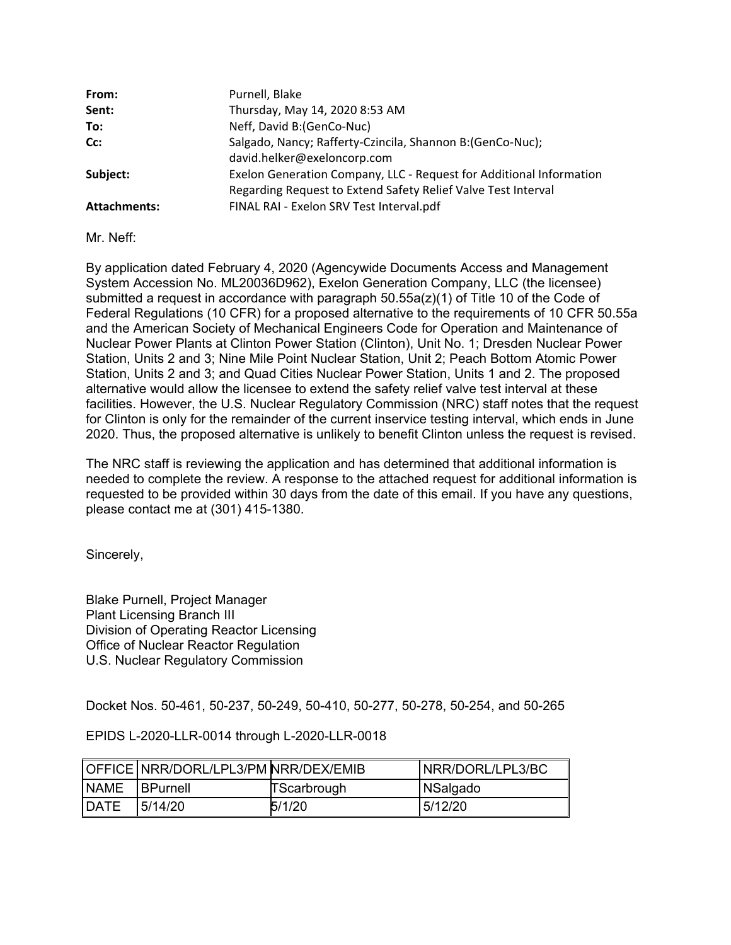| From:               | Purnell, Blake                                                      |  |
|---------------------|---------------------------------------------------------------------|--|
| Sent:               | Thursday, May 14, 2020 8:53 AM                                      |  |
| To:                 | Neff, David B: (GenCo-Nuc)                                          |  |
| Cc:                 | Salgado, Nancy; Rafferty-Czincila, Shannon B: (GenCo-Nuc);          |  |
|                     | david.helker@exeloncorp.com                                         |  |
| Subject:            | Exelon Generation Company, LLC - Request for Additional Information |  |
|                     | Regarding Request to Extend Safety Relief Valve Test Interval       |  |
| <b>Attachments:</b> | FINAL RAI - Exelon SRV Test Interval.pdf                            |  |

Mr. Neff:

By application dated February 4, 2020 (Agencywide Documents Access and Management System Accession No. ML20036D962), Exelon Generation Company, LLC (the licensee) submitted a request in accordance with paragraph  $50.55a(z)(1)$  of Title 10 of the Code of Federal Regulations (10 CFR) for a proposed alternative to the requirements of 10 CFR 50.55a and the American Society of Mechanical Engineers Code for Operation and Maintenance of Nuclear Power Plants at Clinton Power Station (Clinton), Unit No. 1; Dresden Nuclear Power Station, Units 2 and 3; Nine Mile Point Nuclear Station, Unit 2; Peach Bottom Atomic Power Station, Units 2 and 3; and Quad Cities Nuclear Power Station, Units 1 and 2. The proposed alternative would allow the licensee to extend the safety relief valve test interval at these facilities. However, the U.S. Nuclear Regulatory Commission (NRC) staff notes that the request for Clinton is only for the remainder of the current inservice testing interval, which ends in June 2020. Thus, the proposed alternative is unlikely to benefit Clinton unless the request is revised.

The NRC staff is reviewing the application and has determined that additional information is needed to complete the review. A response to the attached request for additional information is requested to be provided within 30 days from the date of this email. If you have any questions, please contact me at (301) 415-1380.

Sincerely,

Blake Purnell, Project Manager Plant Licensing Branch III Division of Operating Reactor Licensing Office of Nuclear Reactor Regulation U.S. Nuclear Regulatory Commission

Docket Nos. 50-461, 50-237, 50-249, 50-410, 50-277, 50-278, 50-254, and 50-265

#### EPIDS L-2020-LLR-0014 through L-2020-LLR-0018

|              | OFFICE NRR/DORL/LPL3/PM NRR/DEX/EMIB |             | INRR/DORL/LPL3/BC |
|--------------|--------------------------------------|-------------|-------------------|
| <b>INAME</b> | <b>IBPurnell</b>                     | TScarbrough | NSalgado          |
| <b>IDATE</b> | 5/14/20                              | 5/1/20      | 5/12/20           |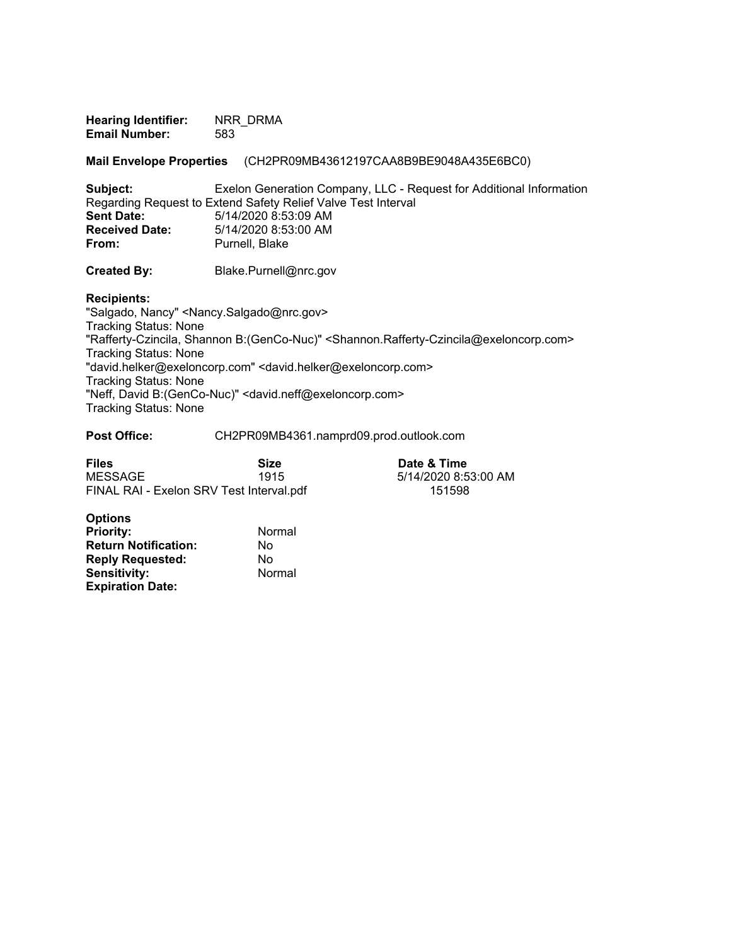**Hearing Identifier:** NRR\_DRMA **Email Number:** 583

**Mail Envelope Properties** (CH2PR09MB43612197CAA8B9BE9048A435E6BC0)

**Subject:** Exelon Generation Company, LLC - Request for Additional Information Regarding Request to Extend Safety Relief Valve Test Interval<br>Sent Date: 5/14/2020 8:53:09 AM **Sent Date:** 5/14/2020 8:53:09 AM **Received Date:** 5/14/2020 8:53:00 AM<br> **From:** Purnell. Blake Purnell, Blake

**Created By:** Blake.Purnell@nrc.gov

**Recipients:** 

"Salgado, Nancy" <Nancy.Salgado@nrc.gov> Tracking Status: None "Rafferty-Czincila, Shannon B:(GenCo-Nuc)" <Shannon.Rafferty-Czincila@exeloncorp.com> Tracking Status: None "david.helker@exeloncorp.com" <david.helker@exeloncorp.com> Tracking Status: None "Neff, David B:(GenCo-Nuc)" <david.neff@exeloncorp.com> Tracking Status: None

#### **Post Office:** CH2PR09MB4361.namprd09.prod.outlook.com

| <b>Files</b>                             | Size | Date & Time          |
|------------------------------------------|------|----------------------|
| MESSAGE                                  | 1915 | 5/14/2020 8:53:00 AM |
| FINAL RAI - Exelon SRV Test Interval.pdf |      | 151598               |

| <b>Options</b>              |        |
|-----------------------------|--------|
| <b>Priority:</b>            | Normal |
| <b>Return Notification:</b> | No     |
| <b>Reply Requested:</b>     | No     |
| <b>Sensitivity:</b>         | Normal |
| <b>Expiration Date:</b>     |        |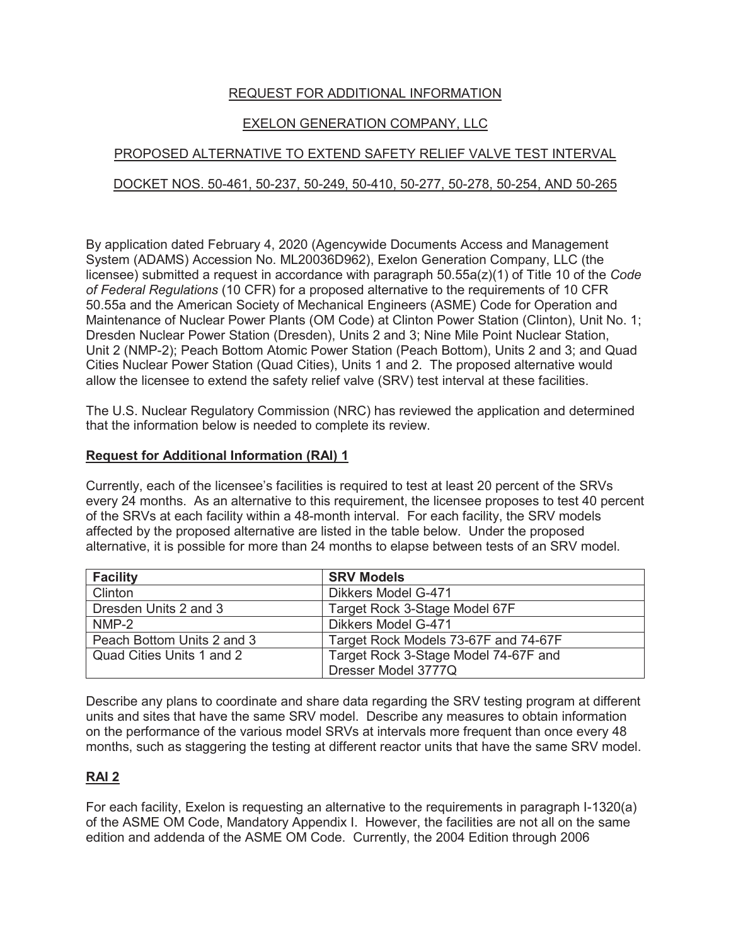# REQUEST FOR ADDITIONAL INFORMATION

# EXELON GENERATION COMPANY, LLC

# PROPOSED ALTERNATIVE TO EXTEND SAFETY RELIEF VALVE TEST INTERVAL

# DOCKET NOS. 50-461, 50-237, 50-249, 50-410, 50-277, 50-278, 50-254, AND 50-265

By application dated February 4, 2020 (Agencywide Documents Access and Management System (ADAMS) Accession No. ML20036D962), Exelon Generation Company, LLC (the licensee) submitted a request in accordance with paragraph 50.55a(z)(1) of Title 10 of the *Code of Federal Regulations* (10 CFR) for a proposed alternative to the requirements of 10 CFR 50.55a and the American Society of Mechanical Engineers (ASME) Code for Operation and Maintenance of Nuclear Power Plants (OM Code) at Clinton Power Station (Clinton), Unit No. 1; Dresden Nuclear Power Station (Dresden), Units 2 and 3; Nine Mile Point Nuclear Station, Unit 2 (NMP-2); Peach Bottom Atomic Power Station (Peach Bottom), Units 2 and 3; and Quad Cities Nuclear Power Station (Quad Cities), Units 1 and 2. The proposed alternative would allow the licensee to extend the safety relief valve (SRV) test interval at these facilities.

The U.S. Nuclear Regulatory Commission (NRC) has reviewed the application and determined that the information below is needed to complete its review.

### **Request for Additional Information (RAI) 1**

Currently, each of the licensee's facilities is required to test at least 20 percent of the SRVs every 24 months. As an alternative to this requirement, the licensee proposes to test 40 percent of the SRVs at each facility within a 48-month interval. For each facility, the SRV models affected by the proposed alternative are listed in the table below. Under the proposed alternative, it is possible for more than 24 months to elapse between tests of an SRV model.

| <b>Facility</b>            | <b>SRV Models</b>                    |
|----------------------------|--------------------------------------|
| Clinton                    | Dikkers Model G-471                  |
| Dresden Units 2 and 3      | Target Rock 3-Stage Model 67F        |
| $NMP-2$                    | Dikkers Model G-471                  |
| Peach Bottom Units 2 and 3 | Target Rock Models 73-67F and 74-67F |
| Quad Cities Units 1 and 2  | Target Rock 3-Stage Model 74-67F and |
|                            | Dresser Model 3777Q                  |

Describe any plans to coordinate and share data regarding the SRV testing program at different units and sites that have the same SRV model. Describe any measures to obtain information on the performance of the various model SRVs at intervals more frequent than once every 48 months, such as staggering the testing at different reactor units that have the same SRV model.

# **RAI 2**

For each facility, Exelon is requesting an alternative to the requirements in paragraph I-1320(a) of the ASME OM Code, Mandatory Appendix I. However, the facilities are not all on the same edition and addenda of the ASME OM Code. Currently, the 2004 Edition through 2006